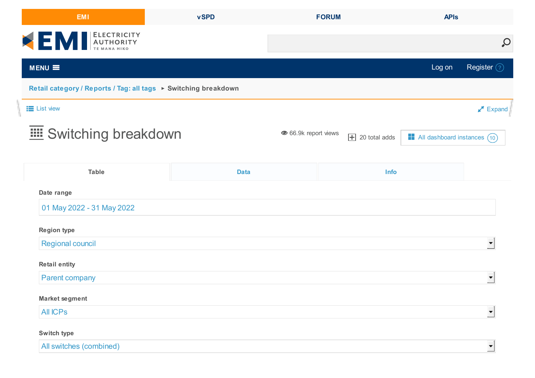| <b>EMI</b>                                                      | <b>vSPD</b> | <b>FORUM</b>         |                             | <b>APIs</b>                  |                              |  |  |
|-----------------------------------------------------------------|-------------|----------------------|-----------------------------|------------------------------|------------------------------|--|--|
| EN ELECTRICITY                                                  |             |                      |                             | $\mathcal{Q}$                |                              |  |  |
| $MENU \equiv$                                                   |             |                      |                             | Log on                       | Register 2                   |  |  |
| Retail category / Reports / Tag: all tags ▶ Switching breakdown |             |                      |                             |                              |                              |  |  |
| <b>E</b> List view                                              |             |                      |                             |                              | $\blacktriangleright$ Expand |  |  |
| <b>EDE</b> Switching breakdown                                  |             | ● 66.9k report views | $\boxed{\pm}$ 20 total adds | All dashboard instances (10) |                              |  |  |
| <b>Table</b>                                                    | <b>Data</b> |                      | Info                        |                              |                              |  |  |
| Date range                                                      |             |                      |                             |                              |                              |  |  |
| 01 May 2022 - 31 May 2022                                       |             |                      |                             |                              |                              |  |  |
| <b>Region type</b>                                              |             |                      |                             |                              |                              |  |  |
| Regional council                                                |             |                      |                             |                              |                              |  |  |
| <b>Retail entity</b>                                            |             |                      |                             |                              |                              |  |  |
| <b>Parent company</b>                                           |             |                      |                             |                              |                              |  |  |
| <b>Market segment</b>                                           |             |                      |                             |                              |                              |  |  |
| <b>All ICPs</b>                                                 |             |                      |                             |                              |                              |  |  |
| Switch type                                                     |             |                      |                             |                              |                              |  |  |
| All switches (combined)                                         |             |                      |                             |                              |                              |  |  |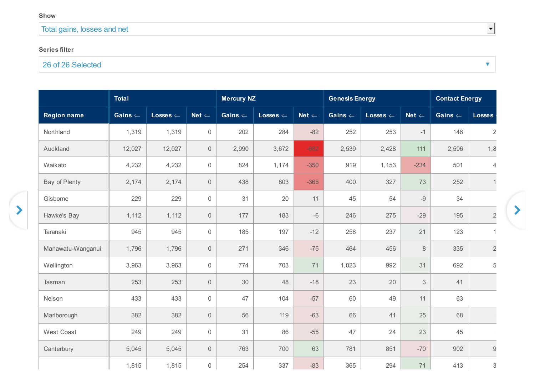## Total gains, losses and net

## **Series filter**

## 26 of 26 Selected

|                    | <b>Total</b>       |                     |                     | <b>Mercury NZ</b>  |                     |                  | <b>Genesis Energy</b> |                     |                  | <b>Contact Energy</b> |                           |
|--------------------|--------------------|---------------------|---------------------|--------------------|---------------------|------------------|-----------------------|---------------------|------------------|-----------------------|---------------------------|
| <b>Region name</b> | Gains $\Leftarrow$ | Losses $\Leftarrow$ | Net $\Leftarrow$    | Gains $\leftarrow$ | $Losses \Leftarrow$ | Net $\Leftarrow$ | Gains $\Leftarrow$    | Losses $\Leftarrow$ | $Net \Leftarrow$ | Gains $\Leftarrow$    | <b>Losses</b>             |
| Northland          | 1,319              | 1,319               | $\mathbf 0$         | 202                | 284                 | $-82$            | 252                   | 253                 | $-1$             | 146                   | $\overline{2}$            |
| Auckland           | 12,027             | 12,027              | $\mathsf{O}\xspace$ | 2,990              | 3,672               | $-682$           | 2,539                 | 2,428               | 111              | 2,596                 | 1,8                       |
| Waikato            | 4,232              | 4,232               | $\mathbf 0$         | 824                | 1,174               | $-350$           | 919                   | 1,153               | $-234$           | 501                   | $\overline{4}$            |
| Bay of Plenty      | 2,174              | 2,174               | $\mathbf 0$         | 438                | 803                 | $-365$           | 400                   | 327                 | 73               | 252                   |                           |
| Gisborne           | 229                | 229                 | $\mathbf 0$         | 31                 | 20                  | 11               | 45                    | 54                  | $-9$             | 34                    |                           |
| Hawke's Bay        | 1,112              | 1,112               | $\mathsf{O}\xspace$ | 177                | 183                 | $-6$             | 246                   | 275                 | $-29$            | 195                   | $\sqrt{2}$                |
| Taranaki           | 945                | 945                 | $\mathbf 0$         | 185                | 197                 | $-12$            | 258                   | 237                 | 21               | 123                   | $\overline{1}$            |
| Manawatu-Wanganui  | 1,796              | 1,796               | $\mathbf 0$         | 271                | 346                 | $-75$            | 464                   | 456                 | $8\,$            | 335                   | $\sqrt{2}$                |
| Wellington         | 3,963              | 3,963               | $\mathsf{O}\xspace$ | 774                | 703                 | 71               | 1,023                 | 992                 | 31               | 692                   | 5                         |
| Tasman             | 253                | 253                 | $\mathsf{O}\xspace$ | $30\,$             | 48                  | $-18$            | 23                    | 20                  | $\sqrt{3}$       | 41                    |                           |
| Nelson             | 433                | 433                 | $\mathbf 0$         | 47                 | 104                 | $-57$            | 60                    | 49                  | 11               | 63                    |                           |
| Marlborough        | 382                | 382                 | $\overline{0}$      | 56                 | 119                 | $-63$            | 66                    | 41                  | 25               | 68                    |                           |
| West Coast         | 249                | 249                 | $\mathsf{O}\xspace$ | 31                 | 86                  | $-55$            | 47                    | 24                  | 23               | 45                    |                           |
| Canterbury         | 5,045              | 5,045               | $\overline{0}$      | 763                | 700                 | 63               | 781                   | 851                 | $-70$            | 902                   | $\mathsf 9$               |
|                    | 1,815              | 1,815               | $\mathsf{O}\xspace$ | 254                | 337                 | $-83$            | 365                   | 294                 | 71               | 413                   | $\ensuremath{\mathsf{3}}$ |

 $\overline{\phantom{0}}$ 

 $\boldsymbol{\mathrm{v}}$